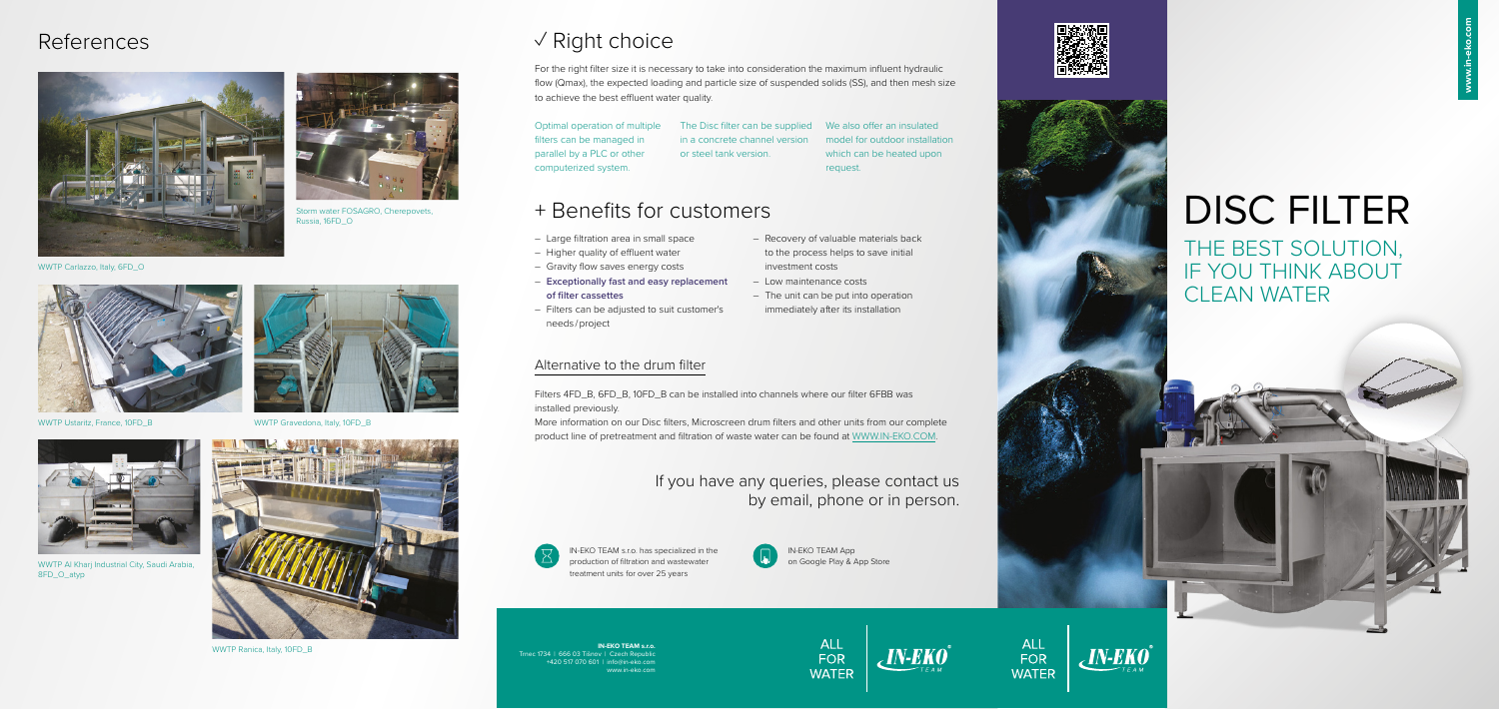**IN-EKO TEAM s.r.o.**  Trnec 1734 | 666 03 Tišnov | Czech Republi +420 517 070 601 | info@in-eko.com www.in-eko.com

# ✓ Right choice

For the right filter size it is necessary to take into consideration the maximum influent hydraulic flow (Qmax), the expected loading and particle size of suspended solids (SS), and then mesh size to achieve the best effluent water quality.

Optimal operation of multiple filters can be managed in parallel by a PLC or other computerized system.

The Disc filter can be supplied We also offer an insulated in a concrete channel version or steel tank version.

model for outdoor installation which can be heated upon request.

#### Alternative to the drum filter

Filters 4FD\_B, 6FD\_B, 10FD\_B can be installed into channels where our filter 6FBB was installed previously.

More information on our Disc filters, Microscreen drum filters and other units from our complete product line of pretreatment and filtration of waste water can be found at WWW.IN-EKO.COM.

## If you have any queries, please contact us by email, phone or in person.



# + Benefits for customers

- Large filtration area in small space
- Higher quality of effluent water
- Gravity flow saves energy costs
- **Exceptionally fast and easy replacement of filter cassettes**
- Filters can be adjusted to suit customer's needs / project
- Recovery of valuable materials back to the process helps to save initial investment costs
- Low maintenance costs
- The unit can be put into operation immediately after its installation



# DISC FILTER

THE BEST SOLUTION, IF YOU THINK ABOUT CLEAN WATER

# References







WWTP Ustaritz, France, 10FD\_B



Storm water FOSAGRO, Cherepovets, Russia, 16FD\_O



WWTP Al Kharj Industrial City, Saudi Arabia, 8FD\_O\_atyp



WWTP Gravedona, Italy, 10FD B



WWTP Ranica, Italy, 10FD\_B

IN-EKO TEAM App on Google Play & App Store

ALL

FOR

**WATER** 





ALL

FOR **WATER**   $_{c}$  IN-EKO $^{\circ}$ 

IN-EKO TEAM s.r.o. has specialized in the production of filtration and wastewater treatment units for over 25 years